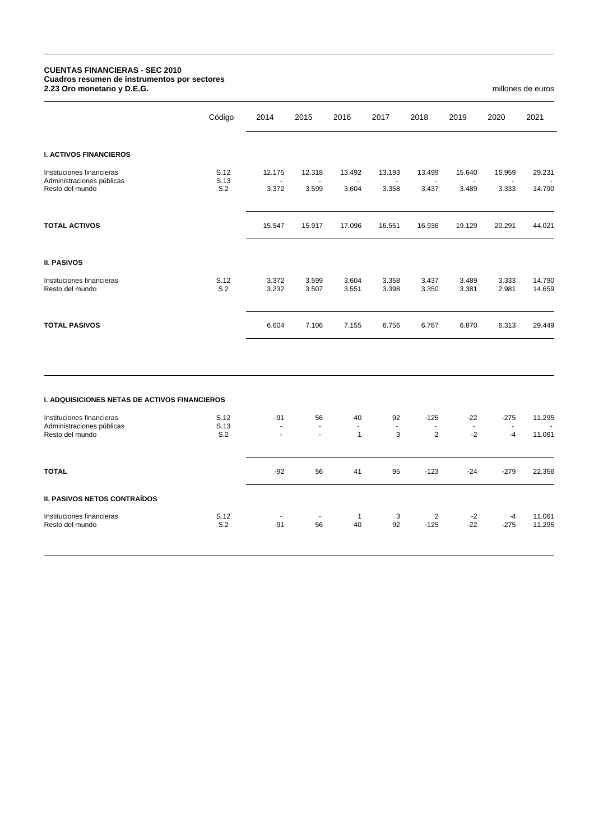## **CUENTAS FINANCIERAS - SEC 2010 Cuadros resumen de instrumentos por sectores 2.23 Oro monetario y D.E.G.** millones de euros

|                                                                           | Código      | 2014                    | 2015                     | 2016                                 | 2017                    | 2018                             | 2019                          | 2020            | 2021             |
|---------------------------------------------------------------------------|-------------|-------------------------|--------------------------|--------------------------------------|-------------------------|----------------------------------|-------------------------------|-----------------|------------------|
| <b>I. ACTIVOS FINANCIEROS</b>                                             |             |                         |                          |                                      |                         |                                  |                               |                 |                  |
| Instituciones financieras                                                 | S.12        | 12.175                  | 12.318                   | 13.492                               | 13.193                  | 13.499                           | 15.640                        | 16.959          | 29.231           |
| Administraciones públicas<br>Resto del mundo                              | S.13<br>S.2 | $\blacksquare$<br>3.372 | $\sim$<br>3.599          | $\blacksquare$<br>3.604              | $\blacksquare$<br>3.358 | $\blacksquare$<br>3.437          | $\ddot{\phantom{1}}$<br>3.489 | $\sim$<br>3.333 | 14.790           |
| <b>TOTAL ACTIVOS</b>                                                      |             | 15.547                  | 15.917                   | 17.096                               | 16.551                  | 16.936                           | 19.129                        | 20.291          | 44.021           |
| <b>II. PASIVOS</b>                                                        |             |                         |                          |                                      |                         |                                  |                               |                 |                  |
| Instituciones financieras<br>Resto del mundo                              | S.12<br>S.2 | 3.372<br>3.232          | 3.599<br>3.507           | 3.604<br>3.551                       | 3.358<br>3.398          | 3.437<br>3.350                   | 3.489<br>3.381                | 3.333<br>2.981  | 14.790<br>14.659 |
| <b>TOTAL PASIVOS</b>                                                      |             | 6.604                   | 7.106                    | 7.155                                | 6.756                   | 6.787                            | 6.870                         | 6.313           | 29.449           |
| I. ADQUISICIONES NETAS DE ACTIVOS FINANCIEROS                             |             |                         |                          |                                      |                         |                                  |                               |                 |                  |
|                                                                           | S.12        | $-91$                   | 56                       |                                      | 92                      | $-125$                           | $-22$                         | $-275$          | 11.295           |
| Instituciones financieras<br>Administraciones públicas<br>Resto del mundo | S.13<br>S.2 | ä,<br>$\overline{a}$    | $\blacksquare$<br>$\sim$ | 40<br>$\blacksquare$<br>$\mathbf{1}$ | $\blacksquare$<br>3     | $\blacksquare$<br>$\overline{2}$ | $\blacksquare$<br>$-2$        | $\sim$<br>$-4$  | 11.061           |
| <b>TOTAL</b>                                                              |             | $-92$                   | 56                       | 41                                   | 95                      | $-123$                           | -24                           | $-279$          | 22.356           |
| <b>II. PASIVOS NETOS CONTRAÍDOS</b>                                       |             |                         |                          |                                      |                         |                                  |                               |                 |                  |

Instituciones financieras 6.12 - 1 3 2 -2 -4 11.061 Resto del mundo S.2 -91 56 40 92 -125 -22 -275 11.295